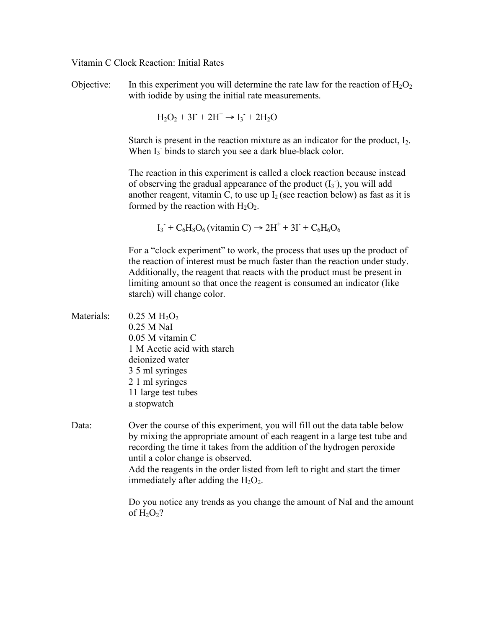## Vitamin C Clock Reaction: Initial Rates

Objective: In this experiment you will determine the rate law for the reaction of  $H_2O_2$ with iodide by using the initial rate measurements.

$$
\mathrm{H_2O_2} + 3\Gamma + 2\mathrm{H^+} \rightarrow \mathrm{I_3^-} + 2\mathrm{H_2O}
$$

Starch is present in the reaction mixture as an indicator for the product,  $I_2$ . When  $I_3$  binds to starch you see a dark blue-black color.

The reaction in this experiment is called a clock reaction because instead of observing the gradual appearance of the product  $(I_3)$ , you will add another reagent, vitamin C, to use up  $I_2$  (see reaction below) as fast as it is formed by the reaction with  $H_2O_2$ .

 $I_3$ <sup>+</sup>  $C_6H_8O_6$  (vitamin C)  $\rightarrow$  2H<sup>+</sup> + 3I<sup>-</sup> +  $C_6H_6O_6$ 

For a "clock experiment" to work, the process that uses up the product of the reaction of interest must be much faster than the reaction under study. Additionally, the reagent that reacts with the product must be present in limiting amount so that once the reagent is consumed an indicator (like starch) will change color.

| Materials: | $0.25 M H_2O_2$             |  |  |  |  |
|------------|-----------------------------|--|--|--|--|
|            | $0.25$ M NaI                |  |  |  |  |
|            | $0.05$ M vitamin C          |  |  |  |  |
|            | 1 M Acetic acid with starch |  |  |  |  |
|            | deionized water             |  |  |  |  |
|            | 3 5 ml syringes             |  |  |  |  |
|            | 2 1 ml syringes             |  |  |  |  |
|            | 11 large test tubes         |  |  |  |  |
|            | a stopwatch                 |  |  |  |  |
|            |                             |  |  |  |  |
|            |                             |  |  |  |  |

Data: Over the course of this experiment, you will fill out the data table below by mixing the appropriate amount of each reagent in a large test tube and recording the time it takes from the addition of the hydrogen peroxide until a color change is observed. Add the reagents in the order listed from left to right and start the timer immediately after adding the  $H_2O_2$ .

> Do you notice any trends as you change the amount of NaI and the amount of  $H_2O_2$ ?